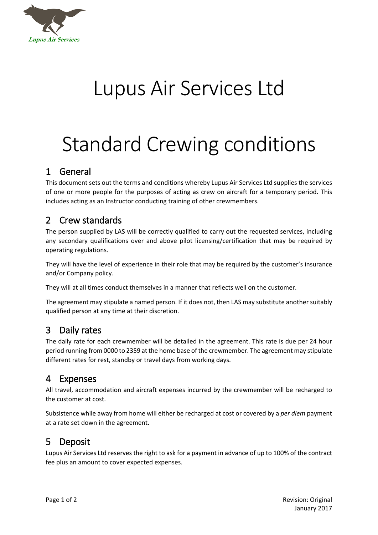

## Lupus Air Services Ltd

# Standard Crewing conditions

#### 1 General

This document sets out the terms and conditions whereby Lupus Air Services Ltd supplies the services of one or more people for the purposes of acting as crew on aircraft for a temporary period. This includes acting as an Instructor conducting training of other crewmembers.

#### 2 Crew standards

The person supplied by LAS will be correctly qualified to carry out the requested services, including any secondary qualifications over and above pilot licensing/certification that may be required by operating regulations.

They will have the level of experience in their role that may be required by the customer's insurance and/or Company policy.

They will at all times conduct themselves in a manner that reflects well on the customer.

The agreement may stipulate a named person. If it does not, then LAS may substitute another suitably qualified person at any time at their discretion.

### 3 Daily rates

The daily rate for each crewmember will be detailed in the agreement. This rate is due per 24 hour period running from 0000 to 2359 at the home base of the crewmember. The agreement may stipulate different rates for rest, standby or travel days from working days.

### 4 Expenses

All travel, accommodation and aircraft expenses incurred by the crewmember will be recharged to the customer at cost.

Subsistence while away from home will either be recharged at cost or covered by a *per diem* payment at a rate set down in the agreement.

### 5 Deposit

Lupus Air Services Ltd reserves the right to ask for a payment in advance of up to 100% of the contract fee plus an amount to cover expected expenses.